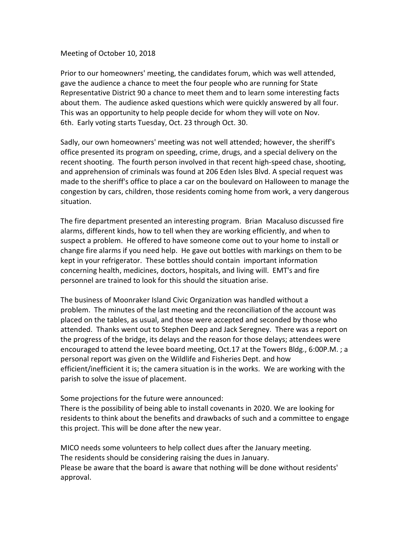Meeting of October 10, 2018

Prior to our homeowners' meeting, the candidates forum, which was well attended, gave the audience a chance to meet the four people who are running for State Representative District 90 a chance to meet them and to learn some interesting facts about them. The audience asked questions which were quickly answered by all four. This was an opportunity to help people decide for whom they will vote on Nov. 6th. Early voting starts Tuesday, Oct. 23 through Oct. 30.

Sadly, our own homeowners' meeting was not well attended; however, the sheriff's office presented its program on speeding, crime, drugs, and a special delivery on the recent shooting. The fourth person involved in that recent high-speed chase, shooting, and apprehension of criminals was found at 206 Eden Isles Blvd. A special request was made to the sheriff's office to place a car on the boulevard on Halloween to manage the congestion by cars, children, those residents coming home from work, a very dangerous situation.

The fire department presented an interesting program. Brian Macaluso discussed fire alarms, different kinds, how to tell when they are working efficiently, and when to suspect a problem. He offered to have someone come out to your home to install or change fire alarms if you need help. He gave out bottles with markings on them to be kept in your refrigerator. These bottles should contain important information concerning health, medicines, doctors, hospitals, and living will. EMT's and fire personnel are trained to look for this should the situation arise.

The business of Moonraker Island Civic Organization was handled without a problem. The minutes of the last meeting and the reconciliation of the account was placed on the tables, as usual, and those were accepted and seconded by those who attended. Thanks went out to Stephen Deep and Jack Seregney. There was a report on the progress of the bridge, its delays and the reason for those delays; attendees were encouraged to attend the levee board meeting, Oct.17 at the Towers Bldg., 6:00P.M. ; a personal report was given on the Wildlife and Fisheries Dept. and how efficient/inefficient it is; the camera situation is in the works. We are working with the parish to solve the issue of placement.

Some projections for the future were announced:

There is the possibility of being able to install covenants in 2020. We are looking for residents to think about the benefits and drawbacks of such and a committee to engage this project. This will be done after the new year.

MICO needs some volunteers to help collect dues after the January meeting. The residents should be considering raising the dues in January. Please be aware that the board is aware that nothing will be done without residents' approval.